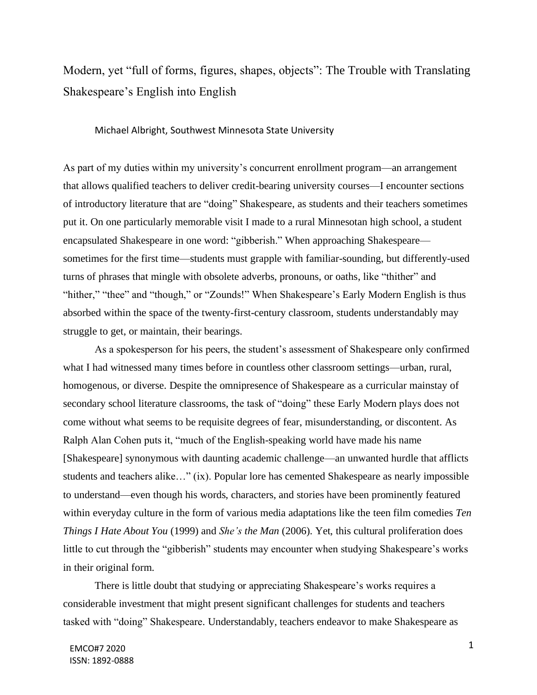Modern, yet "full of forms, figures, shapes, objects": The Trouble with Translating Shakespeare's English into English

Michael Albright, Southwest Minnesota State University

As part of my duties within my university's concurrent enrollment program—an arrangement that allows qualified teachers to deliver credit-bearing university courses—I encounter sections of introductory literature that are "doing" Shakespeare, as students and their teachers sometimes put it. On one particularly memorable visit I made to a rural Minnesotan high school, a student encapsulated Shakespeare in one word: "gibberish." When approaching Shakespeare sometimes for the first time—students must grapple with familiar-sounding, but differently-used turns of phrases that mingle with obsolete adverbs, pronouns, or oaths, like "thither" and "hither," "thee" and "though," or "Zounds!" When Shakespeare's Early Modern English is thus absorbed within the space of the twenty-first-century classroom, students understandably may struggle to get, or maintain, their bearings.

As a spokesperson for his peers, the student's assessment of Shakespeare only confirmed what I had witnessed many times before in countless other classroom settings—urban, rural, homogenous, or diverse. Despite the omnipresence of Shakespeare as a curricular mainstay of secondary school literature classrooms, the task of "doing" these Early Modern plays does not come without what seems to be requisite degrees of fear, misunderstanding, or discontent. As Ralph Alan Cohen puts it, "much of the English-speaking world have made his name [Shakespeare] synonymous with daunting academic challenge—an unwanted hurdle that afflicts students and teachers alike…" (ix). Popular lore has cemented Shakespeare as nearly impossible to understand—even though his words, characters, and stories have been prominently featured within everyday culture in the form of various media adaptations like the teen film comedies *Ten Things I Hate About You* (1999) and *She's the Man* (2006). Yet, this cultural proliferation does little to cut through the "gibberish" students may encounter when studying Shakespeare's works in their original form.

There is little doubt that studying or appreciating Shakespeare's works requires a considerable investment that might present significant challenges for students and teachers tasked with "doing" Shakespeare. Understandably, teachers endeavor to make Shakespeare as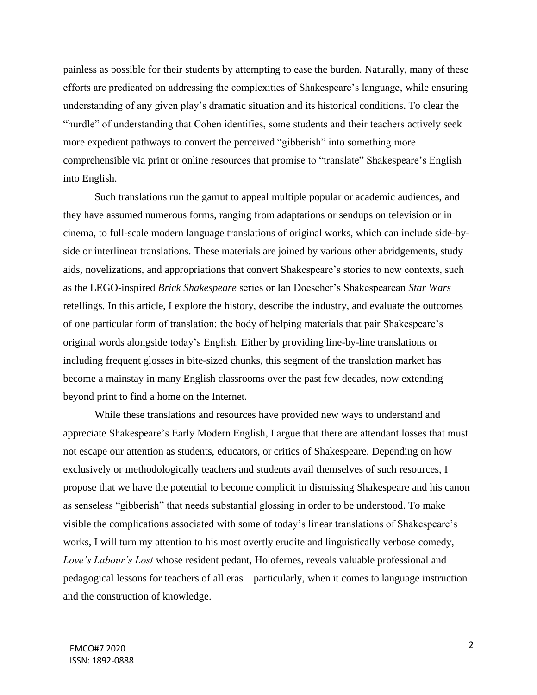painless as possible for their students by attempting to ease the burden. Naturally, many of these efforts are predicated on addressing the complexities of Shakespeare's language, while ensuring understanding of any given play's dramatic situation and its historical conditions. To clear the "hurdle" of understanding that Cohen identifies, some students and their teachers actively seek more expedient pathways to convert the perceived "gibberish" into something more comprehensible via print or online resources that promise to "translate" Shakespeare's English into English.

Such translations run the gamut to appeal multiple popular or academic audiences, and they have assumed numerous forms, ranging from adaptations or sendups on television or in cinema, to full-scale modern language translations of original works, which can include side-byside or interlinear translations. These materials are joined by various other abridgements, study aids, novelizations, and appropriations that convert Shakespeare's stories to new contexts, such as the LEGO-inspired *Brick Shakespeare* series or Ian Doescher's Shakespearean *Star Wars* retellings. In this article, I explore the history, describe the industry, and evaluate the outcomes of one particular form of translation: the body of helping materials that pair Shakespeare's original words alongside today's English. Either by providing line-by-line translations or including frequent glosses in bite-sized chunks, this segment of the translation market has become a mainstay in many English classrooms over the past few decades, now extending beyond print to find a home on the Internet.

While these translations and resources have provided new ways to understand and appreciate Shakespeare's Early Modern English, I argue that there are attendant losses that must not escape our attention as students, educators, or critics of Shakespeare. Depending on how exclusively or methodologically teachers and students avail themselves of such resources, I propose that we have the potential to become complicit in dismissing Shakespeare and his canon as senseless "gibberish" that needs substantial glossing in order to be understood. To make visible the complications associated with some of today's linear translations of Shakespeare's works, I will turn my attention to his most overtly erudite and linguistically verbose comedy, *Love's Labour's Lost* whose resident pedant, Holofernes, reveals valuable professional and pedagogical lessons for teachers of all eras—particularly, when it comes to language instruction and the construction of knowledge.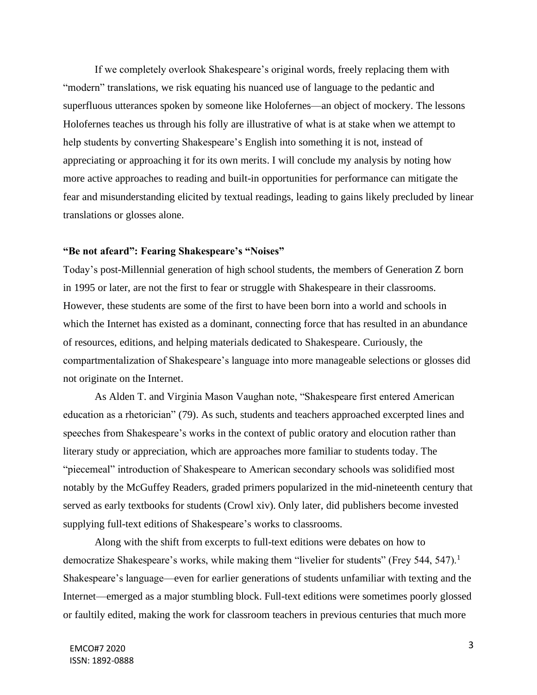If we completely overlook Shakespeare's original words, freely replacing them with "modern" translations, we risk equating his nuanced use of language to the pedantic and superfluous utterances spoken by someone like Holofernes—an object of mockery. The lessons Holofernes teaches us through his folly are illustrative of what is at stake when we attempt to help students by converting Shakespeare's English into something it is not, instead of appreciating or approaching it for its own merits. I will conclude my analysis by noting how more active approaches to reading and built-in opportunities for performance can mitigate the fear and misunderstanding elicited by textual readings, leading to gains likely precluded by linear translations or glosses alone.

# **"Be not afeard": Fearing Shakespeare's "Noises"**

Today's post-Millennial generation of high school students, the members of Generation Z born in 1995 or later, are not the first to fear or struggle with Shakespeare in their classrooms. However, these students are some of the first to have been born into a world and schools in which the Internet has existed as a dominant, connecting force that has resulted in an abundance of resources, editions, and helping materials dedicated to Shakespeare. Curiously, the compartmentalization of Shakespeare's language into more manageable selections or glosses did not originate on the Internet.

As Alden T. and Virginia Mason Vaughan note, "Shakespeare first entered American education as a rhetorician" (79). As such, students and teachers approached excerpted lines and speeches from Shakespeare's works in the context of public oratory and elocution rather than literary study or appreciation, which are approaches more familiar to students today. The "piecemeal" introduction of Shakespeare to American secondary schools was solidified most notably by the McGuffey Readers, graded primers popularized in the mid-nineteenth century that served as early textbooks for students (Crowl xiv). Only later, did publishers become invested supplying full-text editions of Shakespeare's works to classrooms.

Along with the shift from excerpts to full-text editions were debates on how to democratize Shakespeare's works, while making them "livelier for students" (Frey 544, 547).<sup>1</sup> Shakespeare's language—even for earlier generations of students unfamiliar with texting and the Internet—emerged as a major stumbling block. Full-text editions were sometimes poorly glossed or faultily edited, making the work for classroom teachers in previous centuries that much more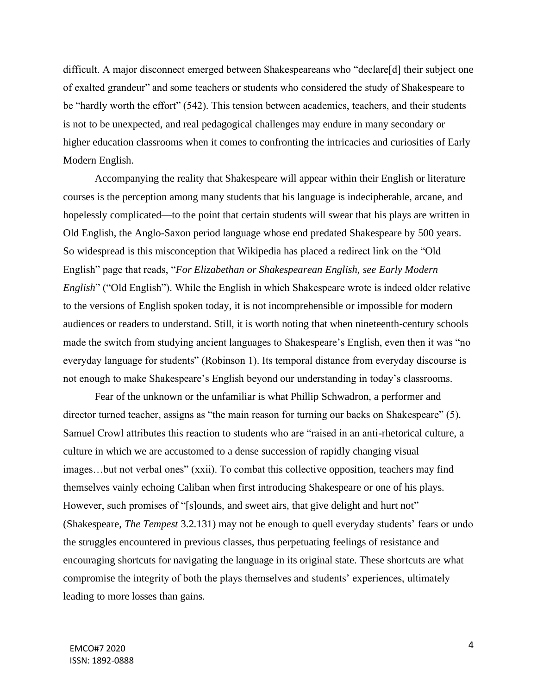difficult. A major disconnect emerged between Shakespeareans who "declare[d] their subject one of exalted grandeur" and some teachers or students who considered the study of Shakespeare to be "hardly worth the effort" (542). This tension between academics, teachers, and their students is not to be unexpected, and real pedagogical challenges may endure in many secondary or higher education classrooms when it comes to confronting the intricacies and curiosities of Early Modern English.

Accompanying the reality that Shakespeare will appear within their English or literature courses is the perception among many students that his language is indecipherable, arcane, and hopelessly complicated—to the point that certain students will swear that his plays are written in Old English, the Anglo-Saxon period language whose end predated Shakespeare by 500 years. So widespread is this misconception that Wikipedia has placed a redirect link on the "Old English" page that reads, "*For Elizabethan or Shakespearean English, see Early Modern English*" ("Old English"). While the English in which Shakespeare wrote is indeed older relative to the versions of English spoken today, it is not incomprehensible or impossible for modern audiences or readers to understand. Still, it is worth noting that when nineteenth-century schools made the switch from studying ancient languages to Shakespeare's English, even then it was "no everyday language for students" (Robinson 1). Its temporal distance from everyday discourse is not enough to make Shakespeare's English beyond our understanding in today's classrooms.

Fear of the unknown or the unfamiliar is what Phillip Schwadron, a performer and director turned teacher, assigns as "the main reason for turning our backs on Shakespeare" (5). Samuel Crowl attributes this reaction to students who are "raised in an anti-rhetorical culture, a culture in which we are accustomed to a dense succession of rapidly changing visual images…but not verbal ones" (xxii). To combat this collective opposition, teachers may find themselves vainly echoing Caliban when first introducing Shakespeare or one of his plays. However, such promises of "[s]ounds, and sweet airs, that give delight and hurt not" (Shakespeare, *The Tempest* 3.2.131) may not be enough to quell everyday students' fears or undo the struggles encountered in previous classes, thus perpetuating feelings of resistance and encouraging shortcuts for navigating the language in its original state. These shortcuts are what compromise the integrity of both the plays themselves and students' experiences, ultimately leading to more losses than gains.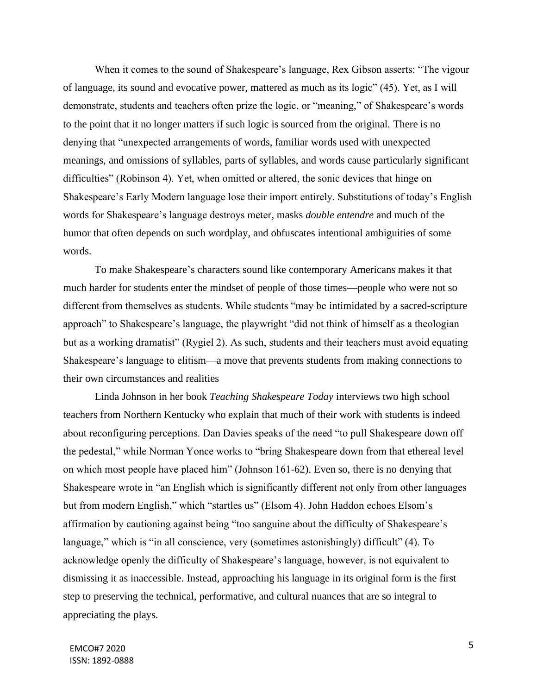When it comes to the sound of Shakespeare's language, Rex Gibson asserts: "The vigour of language, its sound and evocative power, mattered as much as its logic" (45). Yet, as I will demonstrate, students and teachers often prize the logic, or "meaning," of Shakespeare's words to the point that it no longer matters if such logic is sourced from the original. There is no denying that "unexpected arrangements of words, familiar words used with unexpected meanings, and omissions of syllables, parts of syllables, and words cause particularly significant difficulties" (Robinson 4). Yet, when omitted or altered, the sonic devices that hinge on Shakespeare's Early Modern language lose their import entirely. Substitutions of today's English words for Shakespeare's language destroys meter, masks *double entendre* and much of the humor that often depends on such wordplay, and obfuscates intentional ambiguities of some words.

To make Shakespeare's characters sound like contemporary Americans makes it that much harder for students enter the mindset of people of those times—people who were not so different from themselves as students. While students "may be intimidated by a sacred-scripture approach" to Shakespeare's language, the playwright "did not think of himself as a theologian but as a working dramatist" (Rygiel 2). As such, students and their teachers must avoid equating Shakespeare's language to elitism—a move that prevents students from making connections to their own circumstances and realities

Linda Johnson in her book *Teaching Shakespeare Today* interviews two high school teachers from Northern Kentucky who explain that much of their work with students is indeed about reconfiguring perceptions. Dan Davies speaks of the need "to pull Shakespeare down off the pedestal," while Norman Yonce works to "bring Shakespeare down from that ethereal level on which most people have placed him" (Johnson 161-62). Even so, there is no denying that Shakespeare wrote in "an English which is significantly different not only from other languages but from modern English," which "startles us" (Elsom 4). John Haddon echoes Elsom's affirmation by cautioning against being "too sanguine about the difficulty of Shakespeare's language," which is "in all conscience, very (sometimes astonishingly) difficult" (4). To acknowledge openly the difficulty of Shakespeare's language, however, is not equivalent to dismissing it as inaccessible. Instead, approaching his language in its original form is the first step to preserving the technical, performative, and cultural nuances that are so integral to appreciating the plays.

5 EMCO#7 2020 ISSN: 1892-0888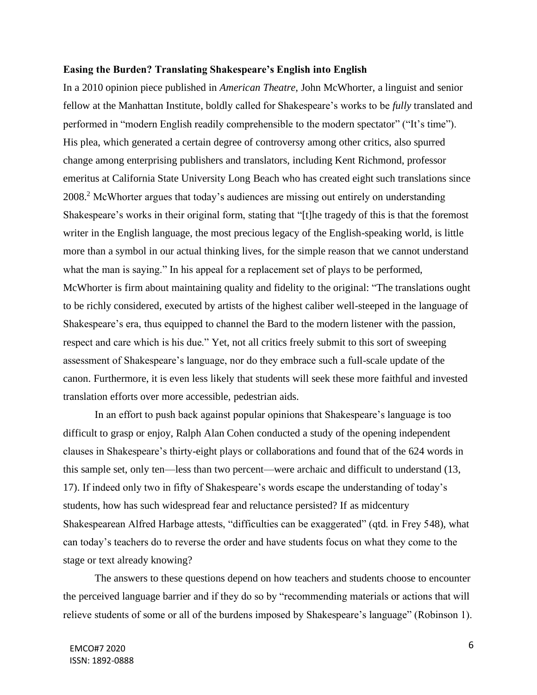### **Easing the Burden? Translating Shakespeare's English into English**

In a 2010 opinion piece published in *American Theatre*, John McWhorter, a linguist and senior fellow at the Manhattan Institute, boldly called for Shakespeare's works to be *fully* translated and performed in "modern English readily comprehensible to the modern spectator" ("It's time"). His plea, which generated a certain degree of controversy among other critics, also spurred change among enterprising publishers and translators, including Kent Richmond, professor emeritus at California State University Long Beach who has created eight such translations since 2008.<sup>2</sup> McWhorter argues that today's audiences are missing out entirely on understanding Shakespeare's works in their original form, stating that "[t]he tragedy of this is that the foremost writer in the English language, the most precious legacy of the English-speaking world, is little more than a symbol in our actual thinking lives, for the simple reason that we cannot understand what the man is saying." In his appeal for a replacement set of plays to be performed, McWhorter is firm about maintaining quality and fidelity to the original: "The translations ought to be richly considered, executed by artists of the highest caliber well-steeped in the language of Shakespeare's era, thus equipped to channel the Bard to the modern listener with the passion, respect and care which is his due." Yet, not all critics freely submit to this sort of sweeping assessment of Shakespeare's language, nor do they embrace such a full-scale update of the canon. Furthermore, it is even less likely that students will seek these more faithful and invested translation efforts over more accessible, pedestrian aids.

In an effort to push back against popular opinions that Shakespeare's language is too difficult to grasp or enjoy, Ralph Alan Cohen conducted a study of the opening independent clauses in Shakespeare's thirty-eight plays or collaborations and found that of the 624 words in this sample set, only ten—less than two percent—were archaic and difficult to understand (13, 17). If indeed only two in fifty of Shakespeare's words escape the understanding of today's students, how has such widespread fear and reluctance persisted? If as midcentury Shakespearean Alfred Harbage attests, "difficulties can be exaggerated" (qtd. in Frey 548), what can today's teachers do to reverse the order and have students focus on what they come to the stage or text already knowing?

The answers to these questions depend on how teachers and students choose to encounter the perceived language barrier and if they do so by "recommending materials or actions that will relieve students of some or all of the burdens imposed by Shakespeare's language" (Robinson 1).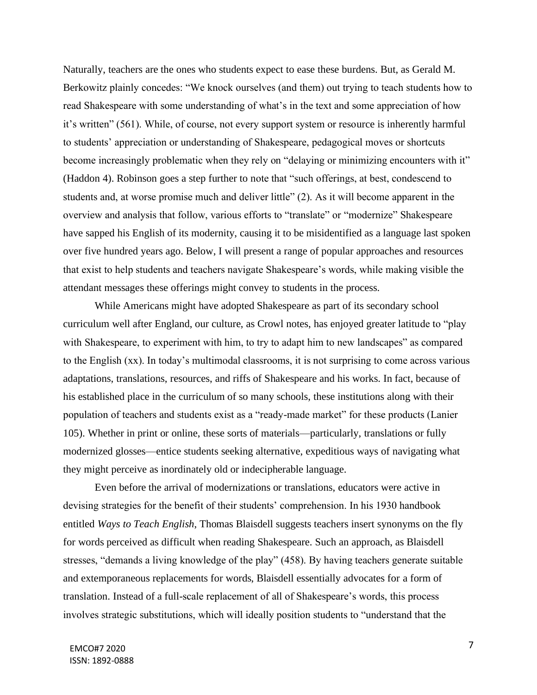Naturally, teachers are the ones who students expect to ease these burdens. But, as Gerald M. Berkowitz plainly concedes: "We knock ourselves (and them) out trying to teach students how to read Shakespeare with some understanding of what's in the text and some appreciation of how it's written" (561). While, of course, not every support system or resource is inherently harmful to students' appreciation or understanding of Shakespeare, pedagogical moves or shortcuts become increasingly problematic when they rely on "delaying or minimizing encounters with it" (Haddon 4). Robinson goes a step further to note that "such offerings, at best, condescend to students and, at worse promise much and deliver little" (2). As it will become apparent in the overview and analysis that follow, various efforts to "translate" or "modernize" Shakespeare have sapped his English of its modernity, causing it to be misidentified as a language last spoken over five hundred years ago. Below, I will present a range of popular approaches and resources that exist to help students and teachers navigate Shakespeare's words, while making visible the attendant messages these offerings might convey to students in the process.

While Americans might have adopted Shakespeare as part of its secondary school curriculum well after England, our culture, as Crowl notes, has enjoyed greater latitude to "play with Shakespeare, to experiment with him, to try to adapt him to new landscapes" as compared to the English (xx). In today's multimodal classrooms, it is not surprising to come across various adaptations, translations, resources, and riffs of Shakespeare and his works. In fact, because of his established place in the curriculum of so many schools, these institutions along with their population of teachers and students exist as a "ready-made market" for these products (Lanier 105). Whether in print or online, these sorts of materials—particularly, translations or fully modernized glosses—entice students seeking alternative, expeditious ways of navigating what they might perceive as inordinately old or indecipherable language.

Even before the arrival of modernizations or translations, educators were active in devising strategies for the benefit of their students' comprehension. In his 1930 handbook entitled *Ways to Teach English*, Thomas Blaisdell suggests teachers insert synonyms on the fly for words perceived as difficult when reading Shakespeare. Such an approach, as Blaisdell stresses, "demands a living knowledge of the play" (458). By having teachers generate suitable and extemporaneous replacements for words, Blaisdell essentially advocates for a form of translation. Instead of a full-scale replacement of all of Shakespeare's words, this process involves strategic substitutions, which will ideally position students to "understand that the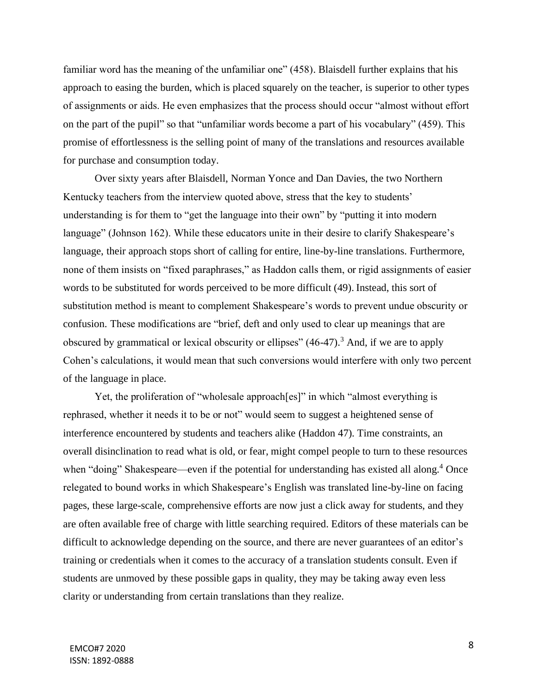familiar word has the meaning of the unfamiliar one" (458). Blaisdell further explains that his approach to easing the burden, which is placed squarely on the teacher, is superior to other types of assignments or aids. He even emphasizes that the process should occur "almost without effort on the part of the pupil" so that "unfamiliar words become a part of his vocabulary" (459). This promise of effortlessness is the selling point of many of the translations and resources available for purchase and consumption today.

Over sixty years after Blaisdell, Norman Yonce and Dan Davies, the two Northern Kentucky teachers from the interview quoted above, stress that the key to students' understanding is for them to "get the language into their own" by "putting it into modern language" (Johnson 162). While these educators unite in their desire to clarify Shakespeare's language, their approach stops short of calling for entire, line-by-line translations. Furthermore, none of them insists on "fixed paraphrases," as Haddon calls them, or rigid assignments of easier words to be substituted for words perceived to be more difficult (49). Instead, this sort of substitution method is meant to complement Shakespeare's words to prevent undue obscurity or confusion. These modifications are "brief, deft and only used to clear up meanings that are obscured by grammatical or lexical obscurity or ellipses"  $(46-47)$ .<sup>3</sup> And, if we are to apply Cohen's calculations, it would mean that such conversions would interfere with only two percent of the language in place.

Yet, the proliferation of "wholesale approach [es]" in which "almost everything is rephrased, whether it needs it to be or not" would seem to suggest a heightened sense of interference encountered by students and teachers alike (Haddon 47). Time constraints, an overall disinclination to read what is old, or fear, might compel people to turn to these resources when "doing" Shakespeare—even if the potential for understanding has existed all along.<sup>4</sup> Once relegated to bound works in which Shakespeare's English was translated line-by-line on facing pages, these large-scale, comprehensive efforts are now just a click away for students, and they are often available free of charge with little searching required. Editors of these materials can be difficult to acknowledge depending on the source, and there are never guarantees of an editor's training or credentials when it comes to the accuracy of a translation students consult. Even if students are unmoved by these possible gaps in quality, they may be taking away even less clarity or understanding from certain translations than they realize.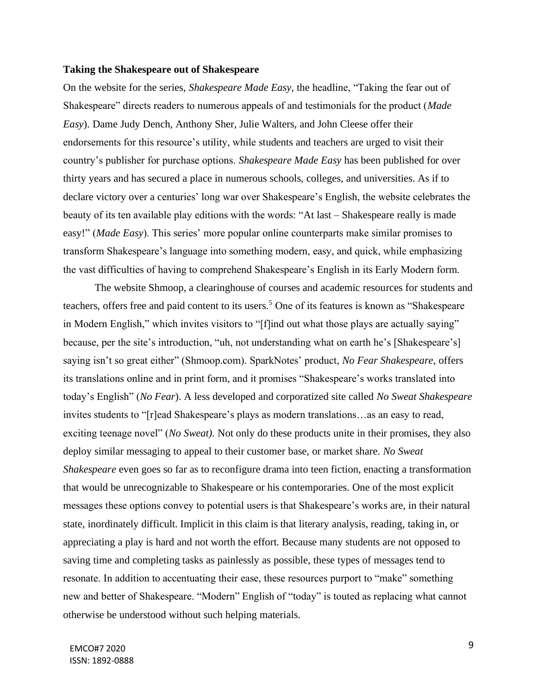### **Taking the Shakespeare out of Shakespeare**

On the website for the series, *Shakespeare Made Easy*, the headline, "Taking the fear out of Shakespeare" directs readers to numerous appeals of and testimonials for the product (*Made Easy*). Dame Judy Dench, Anthony Sher, Julie Walters, and John Cleese offer their endorsements for this resource's utility, while students and teachers are urged to visit their country's publisher for purchase options. *Shakespeare Made Easy* has been published for over thirty years and has secured a place in numerous schools, colleges, and universities. As if to declare victory over a centuries' long war over Shakespeare's English, the website celebrates the beauty of its ten available play editions with the words: "At last – Shakespeare really is made easy!" (*Made Easy*). This series' more popular online counterparts make similar promises to transform Shakespeare's language into something modern, easy, and quick, while emphasizing the vast difficulties of having to comprehend Shakespeare's English in its Early Modern form.

The website Shmoop, a clearinghouse of courses and academic resources for students and teachers, offers free and paid content to its users.<sup>5</sup> One of its features is known as "Shakespeare" in Modern English," which invites visitors to "[f]ind out what those plays are actually saying" because, per the site's introduction, "uh, not understanding what on earth he's [Shakespeare's] saying isn't so great either" (Shmoop.com). SparkNotes' product, *No Fear Shakespeare*, offers its translations online and in print form, and it promises "Shakespeare's works translated into today's English" (*No Fear*). A less developed and corporatized site called *No Sweat Shakespeare* invites students to "[r]ead Shakespeare's plays as modern translations…as an easy to read, exciting teenage novel" (*No Sweat).* Not only do these products unite in their promises, they also deploy similar messaging to appeal to their customer base, or market share. *No Sweat Shakespeare* even goes so far as to reconfigure drama into teen fiction, enacting a transformation that would be unrecognizable to Shakespeare or his contemporaries. One of the most explicit messages these options convey to potential users is that Shakespeare's works are, in their natural state, inordinately difficult. Implicit in this claim is that literary analysis, reading, taking in, or appreciating a play is hard and not worth the effort. Because many students are not opposed to saving time and completing tasks as painlessly as possible, these types of messages tend to resonate. In addition to accentuating their ease, these resources purport to "make" something new and better of Shakespeare. "Modern" English of "today" is touted as replacing what cannot otherwise be understood without such helping materials.

9 EMCO#7 2020 ISSN: 1892-0888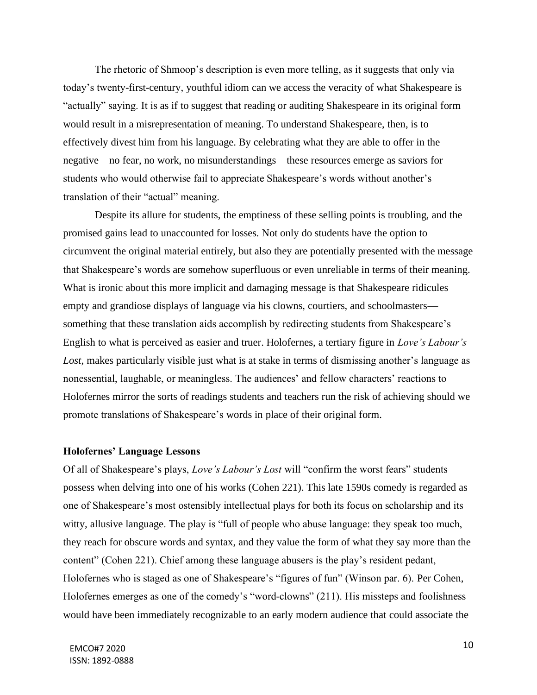The rhetoric of Shmoop's description is even more telling, as it suggests that only via today's twenty-first-century, youthful idiom can we access the veracity of what Shakespeare is "actually" saying. It is as if to suggest that reading or auditing Shakespeare in its original form would result in a misrepresentation of meaning. To understand Shakespeare, then, is to effectively divest him from his language. By celebrating what they are able to offer in the negative—no fear, no work, no misunderstandings—these resources emerge as saviors for students who would otherwise fail to appreciate Shakespeare's words without another's translation of their "actual" meaning.

Despite its allure for students, the emptiness of these selling points is troubling, and the promised gains lead to unaccounted for losses. Not only do students have the option to circumvent the original material entirely, but also they are potentially presented with the message that Shakespeare's words are somehow superfluous or even unreliable in terms of their meaning. What is ironic about this more implicit and damaging message is that Shakespeare ridicules empty and grandiose displays of language via his clowns, courtiers, and schoolmasters something that these translation aids accomplish by redirecting students from Shakespeare's English to what is perceived as easier and truer. Holofernes, a tertiary figure in *Love's Labour's Lost*, makes particularly visible just what is at stake in terms of dismissing another's language as nonessential, laughable, or meaningless. The audiences' and fellow characters' reactions to Holofernes mirror the sorts of readings students and teachers run the risk of achieving should we promote translations of Shakespeare's words in place of their original form.

### **Holofernes' Language Lessons**

Of all of Shakespeare's plays, *Love's Labour's Lost* will "confirm the worst fears" students possess when delving into one of his works (Cohen 221). This late 1590s comedy is regarded as one of Shakespeare's most ostensibly intellectual plays for both its focus on scholarship and its witty, allusive language. The play is "full of people who abuse language: they speak too much, they reach for obscure words and syntax, and they value the form of what they say more than the content" (Cohen 221). Chief among these language abusers is the play's resident pedant, Holofernes who is staged as one of Shakespeare's "figures of fun" (Winson par. 6). Per Cohen, Holofernes emerges as one of the comedy's "word-clowns" (211). His missteps and foolishness would have been immediately recognizable to an early modern audience that could associate the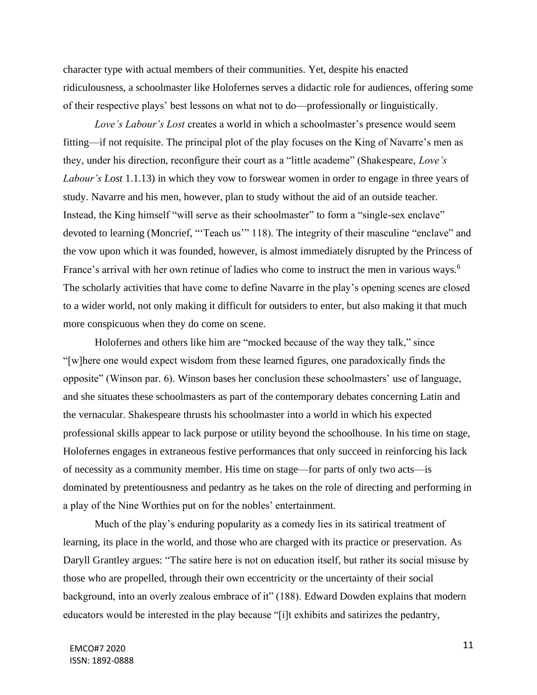character type with actual members of their communities. Yet, despite his enacted ridiculousness, a schoolmaster like Holofernes serves a didactic role for audiences, offering some of their respective plays' best lessons on what not to do—professionally or linguistically.

*Love's Labour's Lost* creates a world in which a schoolmaster's presence would seem fitting—if not requisite. The principal plot of the play focuses on the King of Navarre's men as they, under his direction, reconfigure their court as a "little academe" (Shakespeare, *Love's Labour's Lost* 1.1.13) in which they vow to forswear women in order to engage in three years of study. Navarre and his men, however, plan to study without the aid of an outside teacher. Instead, the King himself "will serve as their schoolmaster" to form a "single-sex enclave" devoted to learning (Moncrief, "'Teach us'" 118). The integrity of their masculine "enclave" and the vow upon which it was founded, however, is almost immediately disrupted by the Princess of France's arrival with her own retinue of ladies who come to instruct the men in various ways.<sup>6</sup> The scholarly activities that have come to define Navarre in the play's opening scenes are closed to a wider world, not only making it difficult for outsiders to enter, but also making it that much more conspicuous when they do come on scene.

Holofernes and others like him are "mocked because of the way they talk," since "[w]here one would expect wisdom from these learned figures, one paradoxically finds the opposite" (Winson par. 6). Winson bases her conclusion these schoolmasters' use of language, and she situates these schoolmasters as part of the contemporary debates concerning Latin and the vernacular. Shakespeare thrusts his schoolmaster into a world in which his expected professional skills appear to lack purpose or utility beyond the schoolhouse. In his time on stage, Holofernes engages in extraneous festive performances that only succeed in reinforcing his lack of necessity as a community member. His time on stage—for parts of only two acts—is dominated by pretentiousness and pedantry as he takes on the role of directing and performing in a play of the Nine Worthies put on for the nobles' entertainment.

Much of the play's enduring popularity as a comedy lies in its satirical treatment of learning, its place in the world, and those who are charged with its practice or preservation. As Daryll Grantley argues: "The satire here is not on education itself, but rather its social misuse by those who are propelled, through their own eccentricity or the uncertainty of their social background, into an overly zealous embrace of it" (188). Edward Dowden explains that modern educators would be interested in the play because "[i]t exhibits and satirizes the pedantry,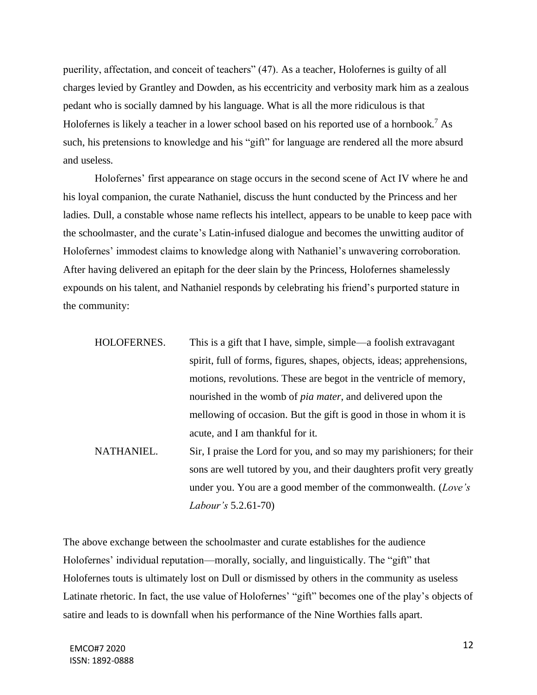puerility, affectation, and conceit of teachers" (47). As a teacher, Holofernes is guilty of all charges levied by Grantley and Dowden, as his eccentricity and verbosity mark him as a zealous pedant who is socially damned by his language. What is all the more ridiculous is that Holofernes is likely a teacher in a lower school based on his reported use of a hornbook.<sup>7</sup> As such, his pretensions to knowledge and his "gift" for language are rendered all the more absurd and useless.

Holofernes' first appearance on stage occurs in the second scene of Act IV where he and his loyal companion, the curate Nathaniel, discuss the hunt conducted by the Princess and her ladies. Dull, a constable whose name reflects his intellect, appears to be unable to keep pace with the schoolmaster, and the curate's Latin-infused dialogue and becomes the unwitting auditor of Holofernes' immodest claims to knowledge along with Nathaniel's unwavering corroboration. After having delivered an epitaph for the deer slain by the Princess, Holofernes shamelessly expounds on his talent, and Nathaniel responds by celebrating his friend's purported stature in the community:

HOLOFERNES. This is a gift that I have, simple, simple—a foolish extravagant spirit, full of forms, figures, shapes, objects, ideas; apprehensions, motions, revolutions. These are begot in the ventricle of memory, nourished in the womb of *pia mater*, and delivered upon the mellowing of occasion. But the gift is good in those in whom it is acute, and I am thankful for it. NATHANIEL. Sir, I praise the Lord for you, and so may my parishioners; for their sons are well tutored by you, and their daughters profit very greatly under you. You are a good member of the commonwealth. (*Love's* 

*Labour's* 5.2.61-70)

The above exchange between the schoolmaster and curate establishes for the audience Holofernes' individual reputation—morally, socially, and linguistically. The "gift" that Holofernes touts is ultimately lost on Dull or dismissed by others in the community as useless Latinate rhetoric. In fact, the use value of Holofernes' "gift" becomes one of the play's objects of satire and leads to is downfall when his performance of the Nine Worthies falls apart.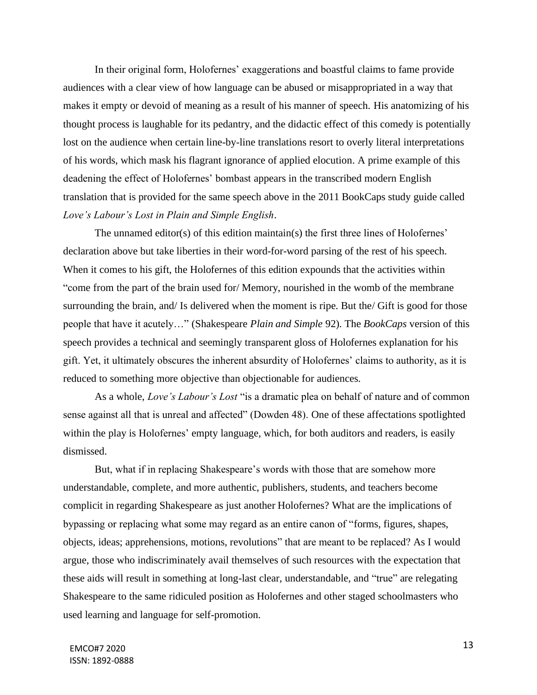In their original form, Holofernes' exaggerations and boastful claims to fame provide audiences with a clear view of how language can be abused or misappropriated in a way that makes it empty or devoid of meaning as a result of his manner of speech. His anatomizing of his thought process is laughable for its pedantry, and the didactic effect of this comedy is potentially lost on the audience when certain line-by-line translations resort to overly literal interpretations of his words, which mask his flagrant ignorance of applied elocution. A prime example of this deadening the effect of Holofernes' bombast appears in the transcribed modern English translation that is provided for the same speech above in the 2011 BookCaps study guide called *Love's Labour's Lost in Plain and Simple English*.

The unnamed editor(s) of this edition maintain(s) the first three lines of Holofernes' declaration above but take liberties in their word-for-word parsing of the rest of his speech. When it comes to his gift, the Holofernes of this edition expounds that the activities within "come from the part of the brain used for/ Memory, nourished in the womb of the membrane surrounding the brain, and/ Is delivered when the moment is ripe. But the/ Gift is good for those people that have it acutely…" (Shakespeare *Plain and Simple* 92). The *BookCaps* version of this speech provides a technical and seemingly transparent gloss of Holofernes explanation for his gift. Yet, it ultimately obscures the inherent absurdity of Holofernes' claims to authority, as it is reduced to something more objective than objectionable for audiences.

As a whole, *Love's Labour's Lost* "is a dramatic plea on behalf of nature and of common sense against all that is unreal and affected" (Dowden 48). One of these affectations spotlighted within the play is Holofernes' empty language, which, for both auditors and readers, is easily dismissed.

But, what if in replacing Shakespeare's words with those that are somehow more understandable, complete, and more authentic, publishers, students, and teachers become complicit in regarding Shakespeare as just another Holofernes? What are the implications of bypassing or replacing what some may regard as an entire canon of "forms, figures, shapes, objects, ideas; apprehensions, motions, revolutions" that are meant to be replaced? As I would argue, those who indiscriminately avail themselves of such resources with the expectation that these aids will result in something at long-last clear, understandable, and "true" are relegating Shakespeare to the same ridiculed position as Holofernes and other staged schoolmasters who used learning and language for self-promotion.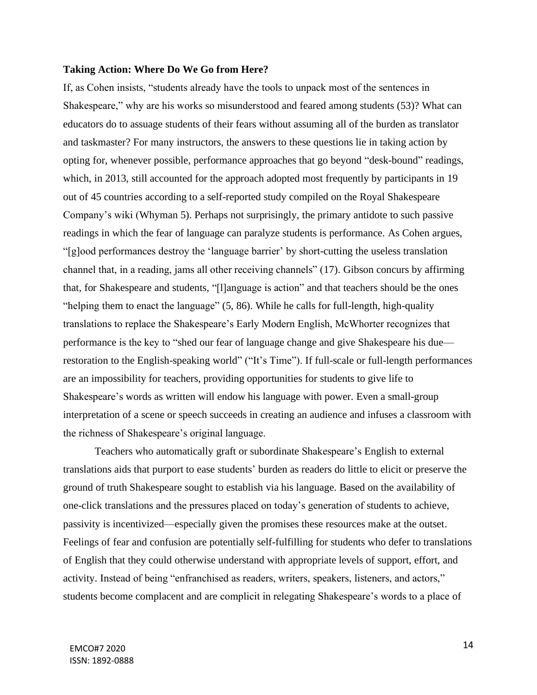### **Taking Action: Where Do We Go from Here?**

If, as Cohen insists, "students already have the tools to unpack most of the sentences in Shakespeare," why are his works so misunderstood and feared among students (53)? What can educators do to assuage students of their fears without assuming all of the burden as translator and taskmaster? For many instructors, the answers to these questions lie in taking action by opting for, whenever possible, performance approaches that go beyond "desk-bound" readings, which, in 2013, still accounted for the approach adopted most frequently by participants in 19 out of 45 countries according to a self-reported study compiled on the Royal Shakespeare Company's wiki (Whyman 5). Perhaps not surprisingly, the primary antidote to such passive readings in which the fear of language can paralyze students is performance. As Cohen argues, "[g]ood performances destroy the 'language barrier' by short-cutting the useless translation channel that, in a reading, jams all other receiving channels" (17). Gibson concurs by affirming that, for Shakespeare and students, "[l]anguage is action" and that teachers should be the ones "helping them to enact the language" (5, 86). While he calls for full-length, high-quality translations to replace the Shakespeare's Early Modern English, McWhorter recognizes that performance is the key to "shed our fear of language change and give Shakespeare his due restoration to the English-speaking world" ("It's Time"). If full-scale or full-length performances are an impossibility for teachers, providing opportunities for students to give life to Shakespeare's words as written will endow his language with power. Even a small-group interpretation of a scene or speech succeeds in creating an audience and infuses a classroom with the richness of Shakespeare's original language.

Teachers who automatically graft or subordinate Shakespeare's English to external translations aids that purport to ease students' burden as readers do little to elicit or preserve the ground of truth Shakespeare sought to establish via his language. Based on the availability of one-click translations and the pressures placed on today's generation of students to achieve, passivity is incentivized—especially given the promises these resources make at the outset. Feelings of fear and confusion are potentially self-fulfilling for students who defer to translations of English that they could otherwise understand with appropriate levels of support, effort, and activity. Instead of being "enfranchised as readers, writers, speakers, listeners, and actors," students become complacent and are complicit in relegating Shakespeare's words to a place of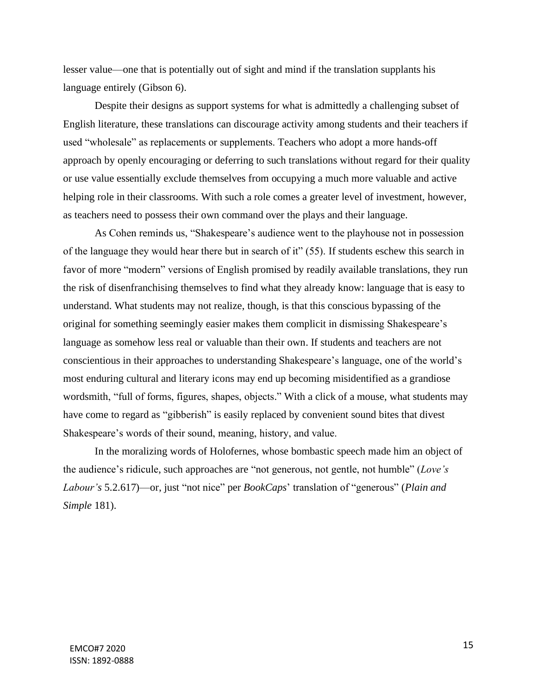lesser value—one that is potentially out of sight and mind if the translation supplants his language entirely (Gibson 6).

Despite their designs as support systems for what is admittedly a challenging subset of English literature, these translations can discourage activity among students and their teachers if used "wholesale" as replacements or supplements. Teachers who adopt a more hands-off approach by openly encouraging or deferring to such translations without regard for their quality or use value essentially exclude themselves from occupying a much more valuable and active helping role in their classrooms. With such a role comes a greater level of investment, however, as teachers need to possess their own command over the plays and their language.

As Cohen reminds us, "Shakespeare's audience went to the playhouse not in possession of the language they would hear there but in search of it" (55). If students eschew this search in favor of more "modern" versions of English promised by readily available translations, they run the risk of disenfranchising themselves to find what they already know: language that is easy to understand. What students may not realize, though, is that this conscious bypassing of the original for something seemingly easier makes them complicit in dismissing Shakespeare's language as somehow less real or valuable than their own. If students and teachers are not conscientious in their approaches to understanding Shakespeare's language, one of the world's most enduring cultural and literary icons may end up becoming misidentified as a grandiose wordsmith, "full of forms, figures, shapes, objects." With a click of a mouse, what students may have come to regard as "gibberish" is easily replaced by convenient sound bites that divest Shakespeare's words of their sound, meaning, history, and value.

In the moralizing words of Holofernes, whose bombastic speech made him an object of the audience's ridicule, such approaches are "not generous, not gentle, not humble" (*Love's Labour's* 5.2.617)—or, just "not nice" per *BookCaps*' translation of "generous" (*Plain and Simple* 181).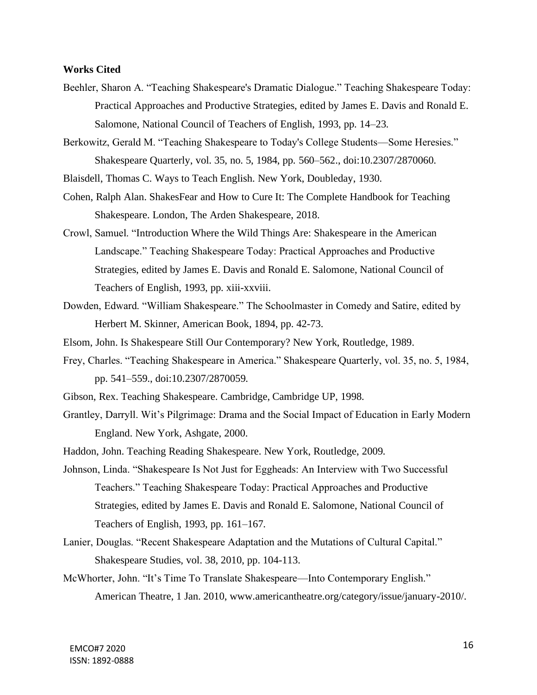## **Works Cited**

- Beehler, Sharon A. "Teaching Shakespeare's Dramatic Dialogue." Teaching Shakespeare Today: Practical Approaches and Productive Strategies, edited by James E. Davis and Ronald E. Salomone, National Council of Teachers of English, 1993, pp. 14–23.
- Berkowitz, Gerald M. "Teaching Shakespeare to Today's College Students—Some Heresies." Shakespeare Quarterly, vol. 35, no. 5, 1984, pp. 560–562., doi:10.2307/2870060.
- Blaisdell, Thomas C. Ways to Teach English. New York, Doubleday, 1930.
- Cohen, Ralph Alan. ShakesFear and How to Cure It: The Complete Handbook for Teaching Shakespeare. London, The Arden Shakespeare, 2018.
- Crowl, Samuel. "Introduction Where the Wild Things Are: Shakespeare in the American Landscape." Teaching Shakespeare Today: Practical Approaches and Productive Strategies, edited by James E. Davis and Ronald E. Salomone, National Council of Teachers of English, 1993, pp. xiii-xxviii.
- Dowden, Edward. "William Shakespeare." The Schoolmaster in Comedy and Satire, edited by Herbert M. Skinner, American Book, 1894, pp. 42-73.
- Elsom, John. Is Shakespeare Still Our Contemporary? New York, Routledge, 1989.
- Frey, Charles. "Teaching Shakespeare in America." Shakespeare Quarterly, vol. 35, no. 5, 1984, pp. 541–559., doi:10.2307/2870059.
- Gibson, Rex. Teaching Shakespeare. Cambridge, Cambridge UP, 1998.
- Grantley, Darryll. Wit's Pilgrimage: Drama and the Social Impact of Education in Early Modern England. New York, Ashgate, 2000.
- Haddon, John. Teaching Reading Shakespeare. New York, Routledge, 2009.
- Johnson, Linda. "Shakespeare Is Not Just for Eggheads: An Interview with Two Successful Teachers." Teaching Shakespeare Today: Practical Approaches and Productive Strategies, edited by James E. Davis and Ronald E. Salomone, National Council of Teachers of English, 1993, pp. 161–167.
- Lanier, Douglas. "Recent Shakespeare Adaptation and the Mutations of Cultural Capital." Shakespeare Studies, vol. 38, 2010, pp. 104-113.
- McWhorter, John. "It's Time To Translate Shakespeare—Into Contemporary English." American Theatre, 1 Jan. 2010, www.americantheatre.org/category/issue/january-2010/.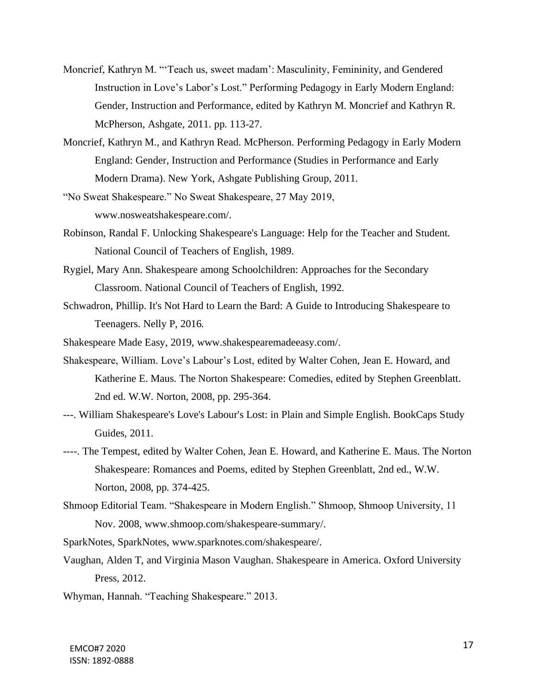- Moncrief, Kathryn M. "'Teach us, sweet madam': Masculinity, Femininity, and Gendered Instruction in Love's Labor's Lost." Performing Pedagogy in Early Modern England: Gender, Instruction and Performance, edited by Kathryn M. Moncrief and Kathryn R. McPherson, Ashgate, 2011. pp. 113-27.
- Moncrief, Kathryn M., and Kathryn Read. McPherson. Performing Pedagogy in Early Modern England: Gender, Instruction and Performance (Studies in Performance and Early Modern Drama). New York, Ashgate Publishing Group, 2011.
- "No Sweat Shakespeare." No Sweat Shakespeare, 27 May 2019, www.nosweatshakespeare.com/.
- Robinson, Randal F. Unlocking Shakespeare's Language: Help for the Teacher and Student. National Council of Teachers of English, 1989.
- Rygiel, Mary Ann. Shakespeare among Schoolchildren: Approaches for the Secondary Classroom. National Council of Teachers of English, 1992.
- Schwadron, Phillip. It's Not Hard to Learn the Bard: A Guide to Introducing Shakespeare to Teenagers. Nelly P, 2016.
- Shakespeare Made Easy, 2019, www.shakespearemadeeasy.com/.
- Shakespeare, William. Love's Labour's Lost, edited by Walter Cohen, Jean E. Howard, and Katherine E. Maus. The Norton Shakespeare: Comedies, edited by Stephen Greenblatt. 2nd ed. W.W. Norton, 2008, pp. 295-364.
- ---. William Shakespeare's Love's Labour's Lost: in Plain and Simple English. BookCaps Study Guides, 2011.
- ----. The Tempest, edited by Walter Cohen, Jean E. Howard, and Katherine E. Maus. The Norton Shakespeare: Romances and Poems, edited by Stephen Greenblatt, 2nd ed., W.W. Norton, 2008, pp. 374-425.
- Shmoop Editorial Team. "Shakespeare in Modern English." Shmoop, Shmoop University, 11 Nov. 2008, www.shmoop.com/shakespeare-summary/.
- SparkNotes, SparkNotes, www.sparknotes.com/shakespeare/.
- Vaughan, Alden T, and Virginia Mason Vaughan. Shakespeare in America. Oxford University Press, 2012.
- Whyman, Hannah. "Teaching Shakespeare." 2013.